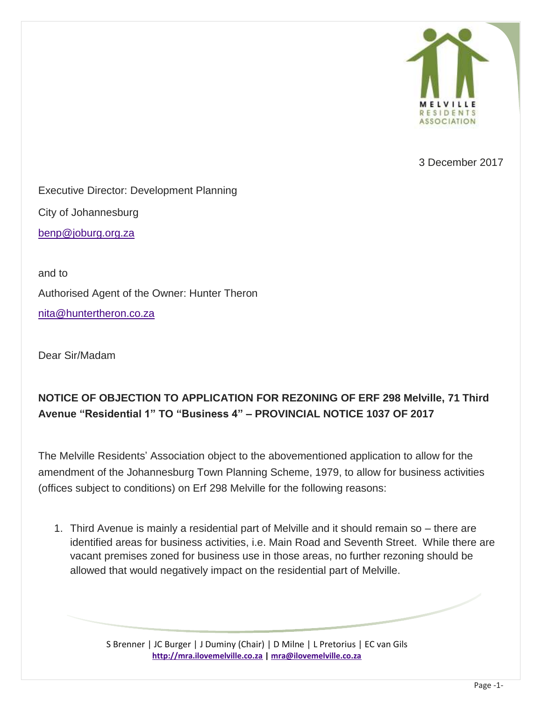

3 December 2017

Executive Director: Development Planning City of Johannesburg

[benp@joburg.org.za](mailto:benp@joburg.org.za)

and to Authorised Agent of the Owner: Hunter Theron [nita@huntertheron.co.za](mailto:nita@huntertheron.co.za)

Dear Sir/Madam

## **NOTICE OF OBJECTION TO APPLICATION FOR REZONING OF ERF 298 Melville, 71 Third Avenue "Residential 1" TO "Business 4" – PROVINCIAL NOTICE 1037 OF 2017**

The Melville Residents' Association object to the abovementioned application to allow for the amendment of the Johannesburg Town Planning Scheme, 1979, to allow for business activities (offices subject to conditions) on Erf 298 Melville for the following reasons:

1. Third Avenue is mainly a residential part of Melville and it should remain so – there are identified areas for business activities, i.e. Main Road and Seventh Street. While there are vacant premises zoned for business use in those areas, no further rezoning should be allowed that would negatively impact on the residential part of Melville.

> S Brenner | JC Burger | J Duminy (Chair) | D Milne | L Pretorius | EC van Gils **[http://mra.ilovemelville.co.za](http://mra.ilovemelville.co.za/) [| mra@ilovemelville.co.za](mailto:mra@ilovemelville.co.za)**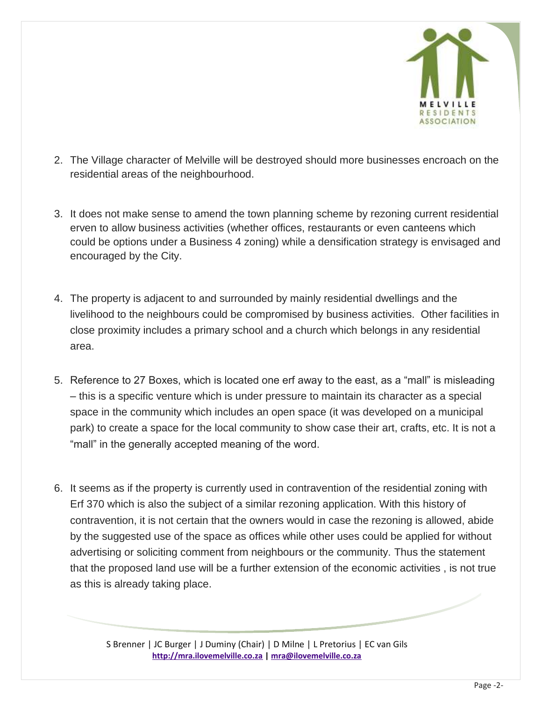

- 2. The Village character of Melville will be destroyed should more businesses encroach on the residential areas of the neighbourhood.
- 3. It does not make sense to amend the town planning scheme by rezoning current residential erven to allow business activities (whether offices, restaurants or even canteens which could be options under a Business 4 zoning) while a densification strategy is envisaged and encouraged by the City.
- 4. The property is adjacent to and surrounded by mainly residential dwellings and the livelihood to the neighbours could be compromised by business activities. Other facilities in close proximity includes a primary school and a church which belongs in any residential area.
- 5. Reference to 27 Boxes, which is located one erf away to the east, as a "mall" is misleading – this is a specific venture which is under pressure to maintain its character as a special space in the community which includes an open space (it was developed on a municipal park) to create a space for the local community to show case their art, crafts, etc. It is not a "mall" in the generally accepted meaning of the word.
- 6. It seems as if the property is currently used in contravention of the residential zoning with Erf 370 which is also the subject of a similar rezoning application. With this history of contravention, it is not certain that the owners would in case the rezoning is allowed, abide by the suggested use of the space as offices while other uses could be applied for without advertising or soliciting comment from neighbours or the community. Thus the statement that the proposed land use will be a further extension of the economic activities , is not true as this is already taking place.

S Brenner | JC Burger | J Duminy (Chair) | D Milne | L Pretorius | EC van Gils **[http://mra.ilovemelville.co.za](http://mra.ilovemelville.co.za/) [| mra@ilovemelville.co.za](mailto:mra@ilovemelville.co.za)**